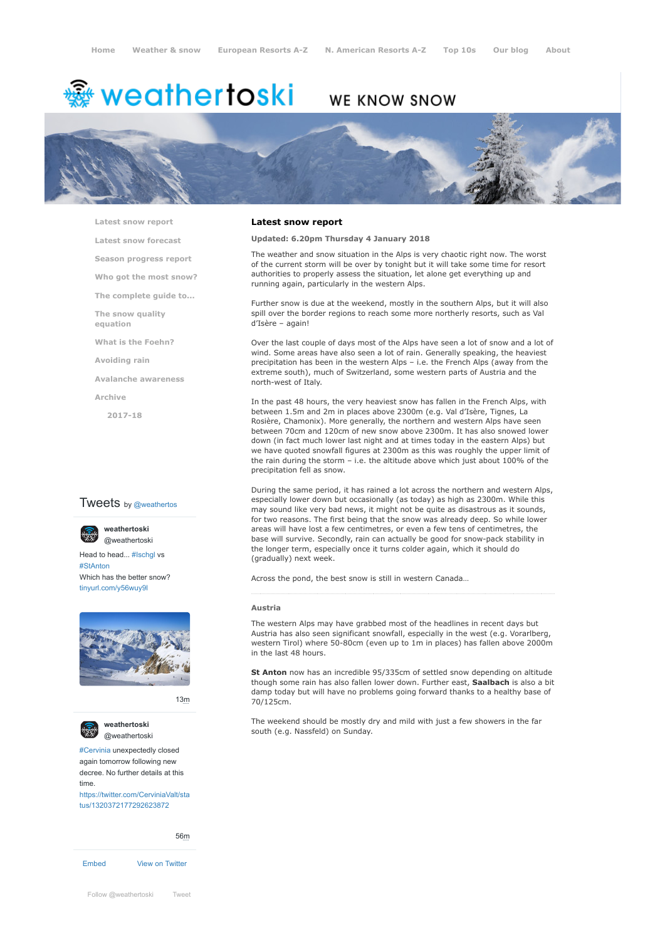# weathertoski <del>ﷺ</del>

# WE KNOW SNOW



**[Latest snow report](https://www.weathertoski.co.uk/weather-snow/latest-snow-report/)**

**[Latest snow forecast](https://www.weathertoski.co.uk/weather-snow/latest-snow-forecast/)**

**[Season progress report](https://www.weathertoski.co.uk/weather-snow/season-progress-report/)**

**[Who got the most snow?](https://www.weathertoski.co.uk/weather-snow/who-got-the-most-snow/)**

**[The complete guide to...](https://www.weathertoski.co.uk/weather-snow/the-complete-guide-to/)**

**[The snow quality](https://www.weathertoski.co.uk/weather-snow/the-snow-quality-equation/) equation**

**[What is the Foehn?](https://www.weathertoski.co.uk/weather-snow/what-is-the-foehn/)**

**[Avoiding rain](https://www.weathertoski.co.uk/weather-snow/avoiding-rain/)**

**[Avalanche awareness](https://www.weathertoski.co.uk/weather-snow/avalanche-awareness/)**

**[Archive](https://www.weathertoski.co.uk/weather-snow/archive/)**

**[2017-18](https://www.weathertoski.co.uk/weather-snow/archive/2017-18/)**

# **Tweets** by @weathertos

**weathertoski** [@weathertoski](https://twitter.com/weathertoski)

Head to head... [#Ischgl](https://twitter.com/hashtag/Ischgl?src=hash) vs [#StAnton](https://twitter.com/hashtag/StAnton?src=hash) Which has the better snow? [tinyurl.com/y56wuy9l](https://t.co/AeKkyB0N9S)



[13m](https://twitter.com/weathertoski/status/1320387692862050304)



**weathertoski** [@weathertoski](https://twitter.com/weathertoski)

[#Cervinia](https://twitter.com/hashtag/Cervinia?src=hash) unexpectedly closed again tomorrow following new decree. No further details at this time.

[https://twitter.com/CerviniaValt/sta](https://twitter.com/CerviniaValt/status/1320372177292623872) tus/1320372177292623872

[56m](https://twitter.com/weathertoski/status/1320376647305093126)

[Embed](https://publish.twitter.com/?url=https%3A%2F%2Ftwitter.com%2Fweathertoski) [View on Twitter](https://twitter.com/weathertoski)

**Latest snow report**

## **Updated: 6.20pm Thursday 4 January 2018**

The weather and snow situation in the Alps is very chaotic right now. The worst of the current storm will be over by tonight but it will take some time for resort authorities to properly assess the situation, let alone get everything up and running again, particularly in the western Alps.

Further snow is due at the weekend, mostly in the southern Alps, but it will also spill over the border regions to reach some more northerly resorts, such as Val d'Isère – again!

Over the last couple of days most of the Alps have seen a lot of snow and a lot of wind. Some areas have also seen a lot of rain. Generally speaking, the heaviest precipitation has been in the western Alps – i.e. the French Alps (away from the extreme south), much of Switzerland, some western parts of Austria and the north-west of Italy.

In the past 48 hours, the very heaviest snow has fallen in the French Alps, with between 1.5m and 2m in places above 2300m (e.g. Val d'Isère, Tignes, La Rosière, Chamonix). More generally, the northern and western Alps have seen between 70cm and 120cm of new snow above 2300m. It has also snowed lower down (in fact much lower last night and at times today in the eastern Alps) but we have quoted snowfall figures at 2300m as this was roughly the upper limit of the rain during the storm – i.e. the altitude above which just about 100% of the precipitation fell as snow.

During the same period, it has rained a lot across the northern and western Alps, especially lower down but occasionally (as today) as high as 2300m. While this may sound like very bad news, it might not be quite as disastrous as it sounds, for two reasons. The first being that the snow was already deep. So while lower areas will have lost a few centimetres, or even a few tens of centimetres, the base will survive. Secondly, rain can actually be good for snow-pack stability in the longer term, especially once it turns colder again, which it should do (gradually) next week.

Across the pond, the best snow is still in western Canada…

#### **Austria**

The western Alps may have grabbed most of the headlines in recent days but Austria has also seen significant snowfall, especially in the west (e.g. Vorarlberg, western Tirol) where 50-80cm (even up to 1m in places) has fallen above 2000m in the last 48 hours.

**St Anton** now has an incredible 95/335cm of settled snow depending on altitude though some rain has also fallen lower down. Further east, **Saalbach** is also a bit damp today but will have no problems going forward thanks to a healthy base of 70/125cm.

The weekend should be mostly dry and mild with just a few showers in the far south (e.g. Nassfeld) on Sunday.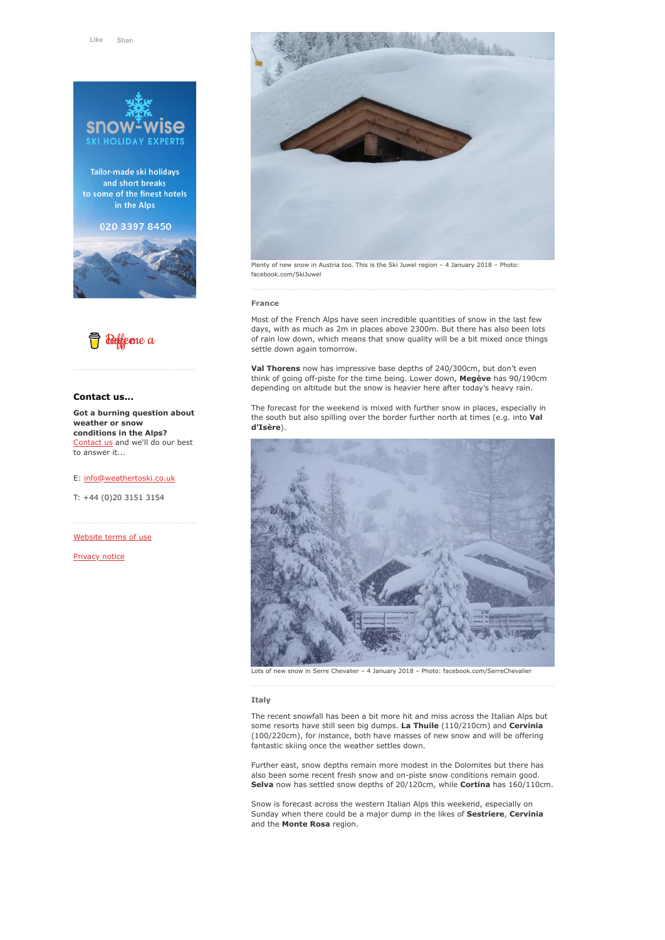

Tailor-made ski holidays and short breaks to some of the finest hotels in the Alps

020 3397 8450





# **Contact us...**

**Got a burning question about weather or snow conditions in the Alps?** [Contact us](https://www.weathertoski.co.uk/about-1/contact-us/) and we'll do our best to answer it...

E: [info@weathertoski.co.uk](mailto:fraser@weathertoski.co.uk)

T: +44 (0)20 3151 3154

[Website terms of use](https://www.weathertoski.co.uk/about-1/website-terms-of-use/)

[Privacy notice](https://www.weathertoski.co.uk/about-1/privacy-notice/)



Plenty of new snow in Austria too. This is the Ski Juwel region – 4 January 2018 – Photo: facebook.com/SkiJuwel

#### **France**

Most of the French Alps have seen incredible quantities of snow in the last few days, with as much as 2m in places above 2300m. But there has also been lots of rain low down, which means that snow quality will be a bit mixed once things settle down again tomorrow.

**Val Thorens** now has impressive base depths of 240/300cm, but don't even think of going off-piste for the time being. Lower down, **Megève** has 90/190cm depending on altitude but the snow is heavier here after today's heavy rain.

The forecast for the weekend is mixed with further snow in places, especially in the south but also spilling over the border further north at times (e.g. into **Val d'Isère**).



Lots of new snow in Serre Chevalier – 4 January 2018 – Photo: facebook.com/SerreChevalier

#### **Italy**

The recent snowfall has been a bit more hit and miss across the Italian Alps but some resorts have still seen big dumps. **La Thuile** (110/210cm) and **Cervinia** (100/220cm), for instance, both have masses of new snow and will be offering fantastic skiing once the weather settles down.

Further east, snow depths remain more modest in the Dolomites but there has also been some recent fresh snow and on-piste snow conditions remain good. **Selva** now has settled snow depths of 20/120cm, while **Cortina** has 160/110cm.

Snow is forecast across the western Italian Alps this weekend, especially on Sunday when there could be a major dump in the likes of **Sestriere**, **Cervinia** and the **Monte Rosa** region.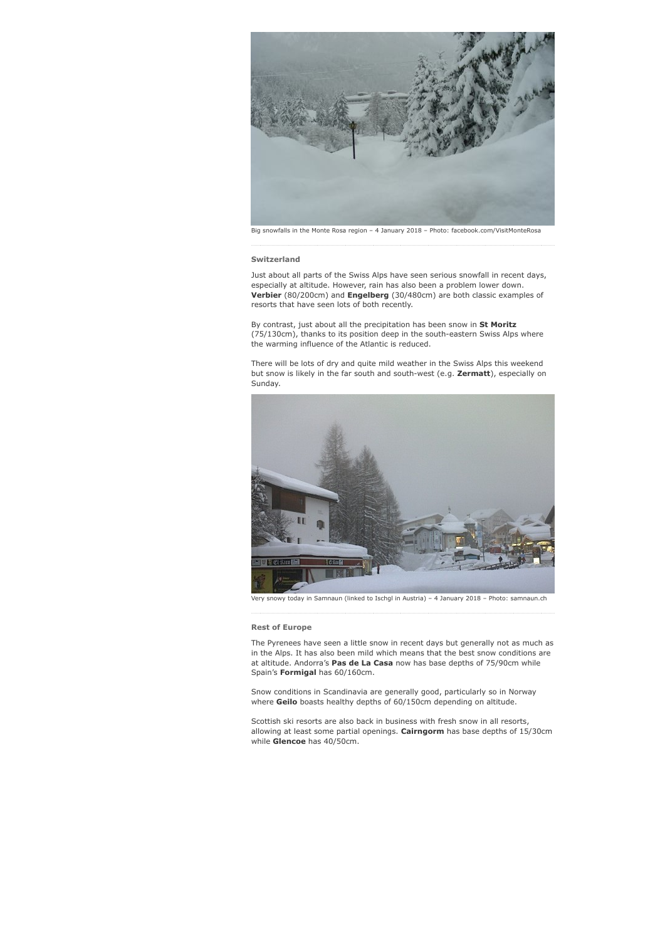

#### **Switzerland**

Just about all parts of the Swiss Alps have seen serious snowfall in recent days, especially at altitude. However, rain has also been a problem lower down. **Verbier** (80/200cm) and **Engelberg** (30/480cm) are both classic examples of resorts that have seen lots of both recently.

By contrast, just about all the precipitation has been snow in **St Moritz** (75/130cm), thanks to its position deep in the south-eastern Swiss Alps where the warming influence of the Atlantic is reduced.

There will be lots of dry and quite mild weather in the Swiss Alps this weekend but snow is likely in the far south and south-west (e.g. **Zermatt**), especially on Sunday.



snowy today in Samnaun (linked to Ischgl in Austria) – 4 January 2018 – Photo: samnaun.ch

# **Rest of Europe**

The Pyrenees have seen a little snow in recent days but generally not as much as in the Alps. It has also been mild which means that the best snow conditions are at altitude. Andorra's **Pas de La Casa** now has base depths of 75/90cm while Spain's **Formigal** has 60/160cm.

Snow conditions in Scandinavia are generally good, particularly so in Norway where **Geilo** boasts healthy depths of 60/150cm depending on altitude.

Scottish ski resorts are also back in business with fresh snow in all resorts, allowing at least some partial openings. **Cairngorm** has base depths of 15/30cm while **Glencoe** has 40/50cm.